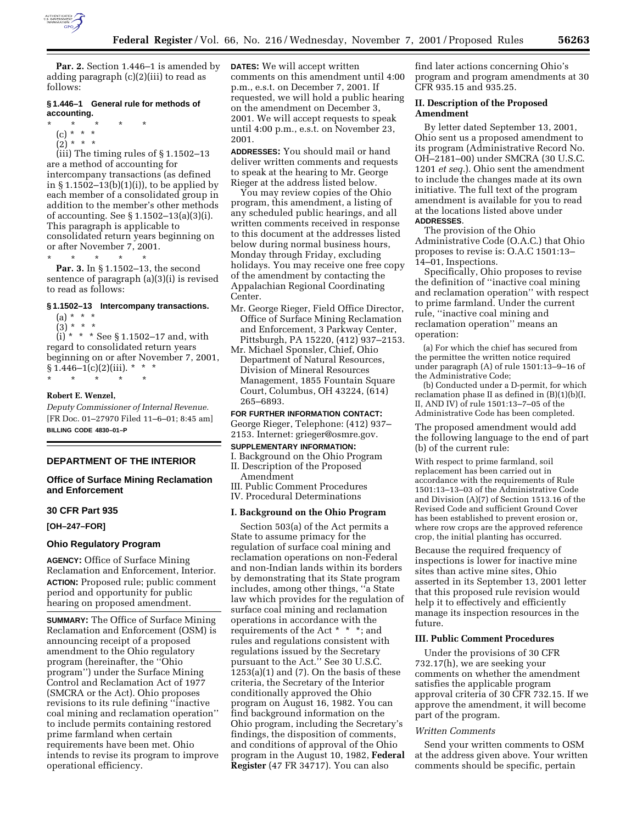

**Par. 2.** Section 1.446–1 is amended by adding paragraph (c)(2)(iii) to read as follows:

## **§ 1.446–1 General rule for methods of accounting.**

- \* \* \* \* \*
	- (c) \* \* \*  $(2)^*$  \* \* \*

 $(iii)$  The timing rules of  $\S 1.1502 - 13$ are a method of accounting for intercompany transactions (as defined in § 1.1502–13(b)(1)(i)), to be applied by each member of a consolidated group in addition to the member's other methods of accounting. See § 1.1502–13(a)(3)(i). This paragraph is applicable to consolidated return years beginning on or after November 7, 2001. \* \* \* \* \*

**Par. 3.** In § 1.1502–13, the second sentence of paragraph (a)(3)(i) is revised to read as follows:

### **§ 1.1502–13 Intercompany transactions.**

 $(a) * * * *$  $(3) * * * *$ 

 $(i) * * * See § 1.1502–17 and, with$ regard to consolidated return years beginning on or after November 7, 2001,  $§ 1.446-1(c)(2)(iii).$  \* \* \*

\* \* \* \* \* **Robert E. Wenzel,**

*Deputy Commissioner of Internal Revenue.* [FR Doc. 01–27970 Filed 11–6–01; 8:45 am] **BILLING CODE 4830–01–P**

#### **DEPARTMENT OF THE INTERIOR**

### **Office of Surface Mining Reclamation and Enforcement**

## **30 CFR Part 935**

**[OH–247–FOR]**

### **Ohio Regulatory Program**

**AGENCY:** Office of Surface Mining Reclamation and Enforcement, Interior. **ACTION:** Proposed rule; public comment period and opportunity for public hearing on proposed amendment.

**SUMMARY:** The Office of Surface Mining Reclamation and Enforcement (OSM) is announcing receipt of a proposed amendment to the Ohio regulatory program (hereinafter, the ''Ohio program'') under the Surface Mining Control and Reclamation Act of 1977 (SMCRA or the Act). Ohio proposes revisions to its rule defining ''inactive coal mining and reclamation operation'' to include permits containing restored prime farmland when certain requirements have been met. Ohio intends to revise its program to improve operational efficiency.

**DATES:** We will accept written comments on this amendment until 4:00 p.m., e.s.t. on December 7, 2001. If requested, we will hold a public hearing on the amendment on December 3, 2001. We will accept requests to speak until 4:00 p.m., e.s.t. on November 23, 2001.

**ADDRESSES:** You should mail or hand deliver written comments and requests to speak at the hearing to Mr. George Rieger at the address listed below.

You may review copies of the Ohio program, this amendment, a listing of any scheduled public hearings, and all written comments received in response to this document at the addresses listed below during normal business hours, Monday through Friday, excluding holidays. You may receive one free copy of the amendment by contacting the Appalachian Regional Coordinating Center.

- Mr. George Rieger, Field Office Director, Office of Surface Mining Reclamation and Enforcement, 3 Parkway Center, Pittsburgh, PA 15220, (412) 937–2153.
- Mr. Michael Sponsler, Chief, Ohio Department of Natural Resources, Division of Mineral Resources Management, 1855 Fountain Square Court, Columbus, OH 43224, (614) 265–6893.

**FOR FURTHER INFORMATION CONTACT:** George Rieger, Telephone: (412) 937– 2153. Internet: grieger@osmre.gov.

**SUPPLEMENTARY INFORMATION:**

- I. Background on the Ohio Program II. Description of the Proposed
- Amendment III. Public Comment Procedures
- IV. Procedural Determinations

### **I. Background on the Ohio Program**

Section 503(a) of the Act permits a State to assume primacy for the regulation of surface coal mining and reclamation operations on non-Federal and non-Indian lands within its borders by demonstrating that its State program includes, among other things, ''a State law which provides for the regulation of surface coal mining and reclamation operations in accordance with the requirements of the Act \* \* \*; and rules and regulations consistent with regulations issued by the Secretary pursuant to the Act.'' See 30 U.S.C.  $1253(a)(1)$  and  $(7)$ . On the basis of these criteria, the Secretary of the Interior conditionally approved the Ohio program on August 16, 1982. You can find background information on the Ohio program, including the Secretary's findings, the disposition of comments, and conditions of approval of the Ohio program in the August 10, 1982, **Federal Register** (47 FR 34717). You can also

find later actions concerning Ohio's program and program amendments at 30 CFR 935.15 and 935.25.

### **II. Description of the Proposed Amendment**

By letter dated September 13, 2001, Ohio sent us a proposed amendment to its program (Administrative Record No. OH–2181–00) under SMCRA (30 U.S.C. 1201 *et seq.*). Ohio sent the amendment to include the changes made at its own initiative. The full text of the program amendment is available for you to read at the locations listed above under **ADDRESSES**.

The provision of the Ohio Administrative Code (O.A.C.) that Ohio proposes to revise is: O.A.C 1501:13– 14–01, Inspections.

Specifically, Ohio proposes to revise the definition of ''inactive coal mining and reclamation operation'' with respect to prime farmland. Under the current rule, ''inactive coal mining and reclamation operation'' means an operation:

(a) For which the chief has secured from the permittee the written notice required under paragraph (A) of rule 1501:13–9–16 of the Administrative Code;

(b) Conducted under a D-permit, for which reclamation phase II as defined in (B)(1)(b)(I, II, AND IV) of rule 1501:13–7–05 of the Administrative Code has been completed.

The proposed amendment would add the following language to the end of part (b) of the current rule:

With respect to prime farmland, soil replacement has been carried out in accordance with the requirements of Rule 1501:13–13–03 of the Administrative Code and Division (A)(7) of Section 1513.16 of the Revised Code and sufficient Ground Cover has been established to prevent erosion or, where row crops are the approved reference crop, the initial planting has occurred.

Because the required frequency of inspections is lower for inactive mine sites than active mine sites, Ohio asserted in its September 13, 2001 letter that this proposed rule revision would help it to effectively and efficiently manage its inspection resources in the future.

### **III. Public Comment Procedures**

Under the provisions of 30 CFR 732.17(h), we are seeking your comments on whether the amendment satisfies the applicable program approval criteria of 30 CFR 732.15. If we approve the amendment, it will become part of the program.

## *Written Comments*

Send your written comments to OSM at the address given above. Your written comments should be specific, pertain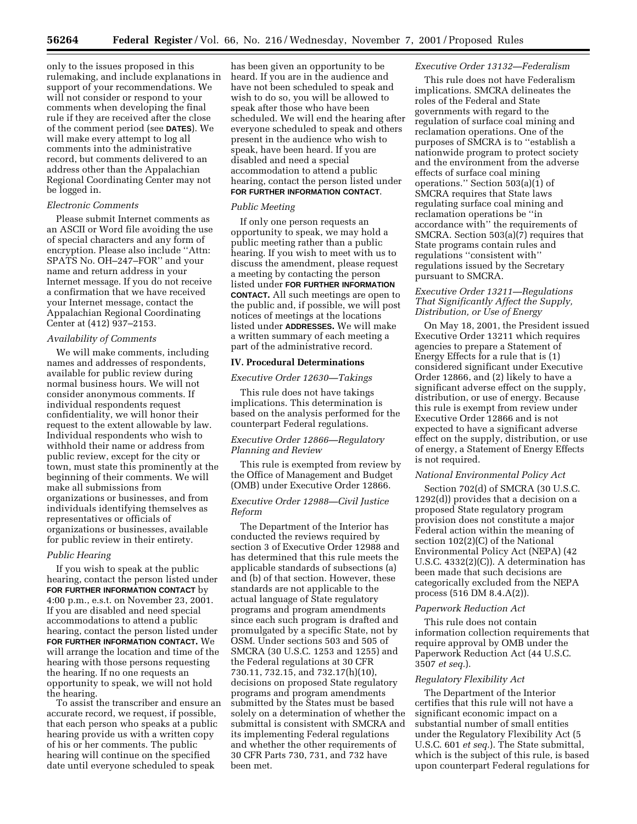only to the issues proposed in this rulemaking, and include explanations in support of your recommendations. We will not consider or respond to your comments when developing the final rule if they are received after the close of the comment period (see **DATES**). We will make every attempt to log all comments into the administrative record, but comments delivered to an address other than the Appalachian Regional Coordinating Center may not be logged in.

### *Electronic Comments*

Please submit Internet comments as an ASCII or Word file avoiding the use of special characters and any form of encryption. Please also include ''Attn: SPATS No. OH–247–FOR'' and your name and return address in your Internet message. If you do not receive a confirmation that we have received your Internet message, contact the Appalachian Regional Coordinating Center at (412) 937–2153.

### *Availability of Comments*

We will make comments, including names and addresses of respondents, available for public review during normal business hours. We will not consider anonymous comments. If individual respondents request confidentiality, we will honor their request to the extent allowable by law. Individual respondents who wish to withhold their name or address from public review, except for the city or town, must state this prominently at the beginning of their comments. We will make all submissions from organizations or businesses, and from individuals identifying themselves as representatives or officials of organizations or businesses, available for public review in their entirety.

### *Public Hearing*

If you wish to speak at the public hearing, contact the person listed under **FOR FURTHER INFORMATION CONTACT** by 4:00 p.m., e.s.t. on November 23, 2001. If you are disabled and need special accommodations to attend a public hearing, contact the person listed under **FOR FURTHER INFORMATION CONTACT.** We will arrange the location and time of the hearing with those persons requesting the hearing. If no one requests an opportunity to speak, we will not hold the hearing.

To assist the transcriber and ensure an accurate record, we request, if possible, that each person who speaks at a public hearing provide us with a written copy of his or her comments. The public hearing will continue on the specified date until everyone scheduled to speak

has been given an opportunity to be heard. If you are in the audience and have not been scheduled to speak and wish to do so, you will be allowed to speak after those who have been scheduled. We will end the hearing after everyone scheduled to speak and others present in the audience who wish to speak, have been heard. If you are disabled and need a special accommodation to attend a public hearing, contact the person listed under **FOR FURTHER INFORMATION CONTACT**.

### *Public Meeting*

If only one person requests an opportunity to speak, we may hold a public meeting rather than a public hearing. If you wish to meet with us to discuss the amendment, please request a meeting by contacting the person listed under **FOR FURTHER INFORMATION CONTACT.** All such meetings are open to the public and, if possible, we will post notices of meetings at the locations listed under **ADDRESSES.** We will make a written summary of each meeting a part of the administrative record.

### **IV. Procedural Determinations**

#### *Executive Order 12630—Takings*

This rule does not have takings implications. This determination is based on the analysis performed for the counterpart Federal regulations.

# *Executive Order 12866—Regulatory Planning and Review*

This rule is exempted from review by the Office of Management and Budget (OMB) under Executive Order 12866.

### *Executive Order 12988—Civil Justice Reform*

The Department of the Interior has conducted the reviews required by section 3 of Executive Order 12988 and has determined that this rule meets the applicable standards of subsections (a) and (b) of that section. However, these standards are not applicable to the actual language of State regulatory programs and program amendments since each such program is drafted and promulgated by a specific State, not by OSM. Under sections 503 and 505 of SMCRA (30 U.S.C. 1253 and 1255) and the Federal regulations at 30 CFR 730.11, 732.15, and 732.17(h)(10), decisions on proposed State regulatory programs and program amendments submitted by the States must be based solely on a determination of whether the submittal is consistent with SMCRA and its implementing Federal regulations and whether the other requirements of 30 CFR Parts 730, 731, and 732 have been met.

### *Executive Order 13132—Federalism*

This rule does not have Federalism implications. SMCRA delineates the roles of the Federal and State governments with regard to the regulation of surface coal mining and reclamation operations. One of the purposes of SMCRA is to ''establish a nationwide program to protect society and the environment from the adverse effects of surface coal mining operations.'' Section 503(a)(1) of SMCRA requires that State laws regulating surface coal mining and reclamation operations be ''in accordance with'' the requirements of SMCRA. Section 503(a)(7) requires that State programs contain rules and regulations ''consistent with'' regulations issued by the Secretary pursuant to SMCRA.

## *Executive Order 13211—Regulations That Significantly Affect the Supply, Distribution, or Use of Energy*

On May 18, 2001, the President issued Executive Order 13211 which requires agencies to prepare a Statement of Energy Effects for a rule that is (1) considered significant under Executive Order 12866, and (2) likely to have a significant adverse effect on the supply, distribution, or use of energy. Because this rule is exempt from review under Executive Order 12866 and is not expected to have a significant adverse effect on the supply, distribution, or use of energy, a Statement of Energy Effects is not required.

#### *National Environmental Policy Act*

Section 702(d) of SMCRA (30 U.S.C. 1292(d)) provides that a decision on a proposed State regulatory program provision does not constitute a major Federal action within the meaning of section 102(2)(C) of the National Environmental Policy Act (NEPA) (42 U.S.C. 4332(2)(C)). A determination has been made that such decisions are categorically excluded from the NEPA process (516 DM 8.4.A(2)).

#### *Paperwork Reduction Act*

This rule does not contain information collection requirements that require approval by OMB under the Paperwork Reduction Act (44 U.S.C. 3507 *et seq.*).

#### *Regulatory Flexibility Act*

The Department of the Interior certifies that this rule will not have a significant economic impact on a substantial number of small entities under the Regulatory Flexibility Act (5 U.S.C. 601 *et seq.*). The State submittal, which is the subject of this rule, is based upon counterpart Federal regulations for